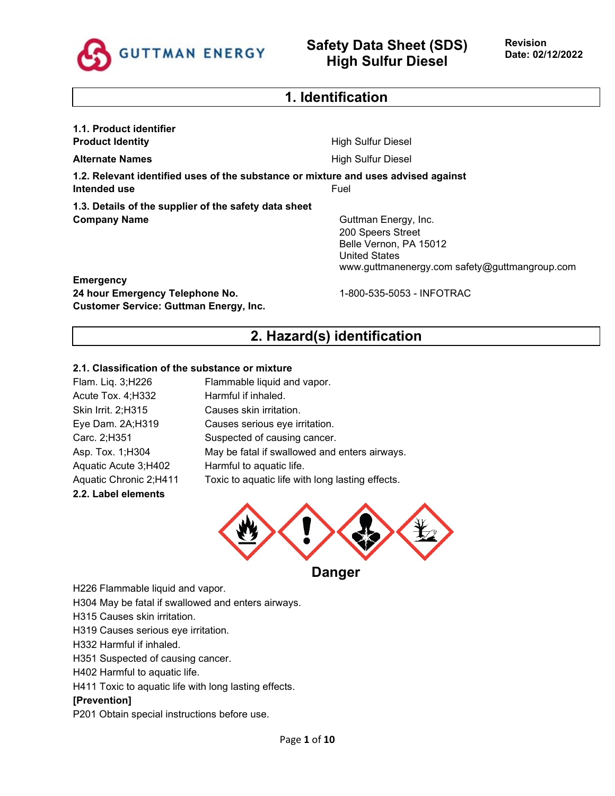

# **1. Identification**

**1.1. Product identifier Product Identity High Sulfur Diesel Alternate Names Alternate Names High Sulfur Diesel 1.2. Relevant identified uses of the substance or mixture and uses advised against Intended use** Fuel **1.3. Details of the supplier of the safety data sheet Company Name** Guttman Energy, Inc. 200 Speers Street Belle Vernon, PA 15012 United States www.guttmanenergy.com safety@guttmangroup.com **Emergency** 24 hour Emergency Telephone No. 1-800-535-5053 - INFOTRAC

# **2. Hazard(s) identification**

### **2.1. Classification of the substance or mixture**

**Customer Service: Guttman Energy, Inc.**

| Flam. Liq. 3;H226      | Flammable liquid and vapor.                      |
|------------------------|--------------------------------------------------|
| Acute Tox. 4; H332     | Harmful if inhaled.                              |
| Skin Irrit. 2;H315     | Causes skin irritation.                          |
| Eye Dam. 2A;H319       | Causes serious eye irritation.                   |
| Carc. 2;H351           | Suspected of causing cancer.                     |
| Asp. Tox. 1; H304      | May be fatal if swallowed and enters airways.    |
| Aquatic Acute 3;H402   | Harmful to aquatic life.                         |
| Aquatic Chronic 2;H411 | Toxic to aquatic life with long lasting effects. |
| 2.2. Label elements    |                                                  |



**Danger** 

H226 Flammable liquid and vapor.

H304 May be fatal if swallowed and enters airways.

H315 Causes skin irritation.

H319 Causes serious eye irritation.

H332 Harmful if inhaled.

H351 Suspected of causing cancer.

H402 Harmful to aquatic life.

H411 Toxic to aquatic life with long lasting effects.

#### **[Prevention]**

P201 Obtain special instructions before use.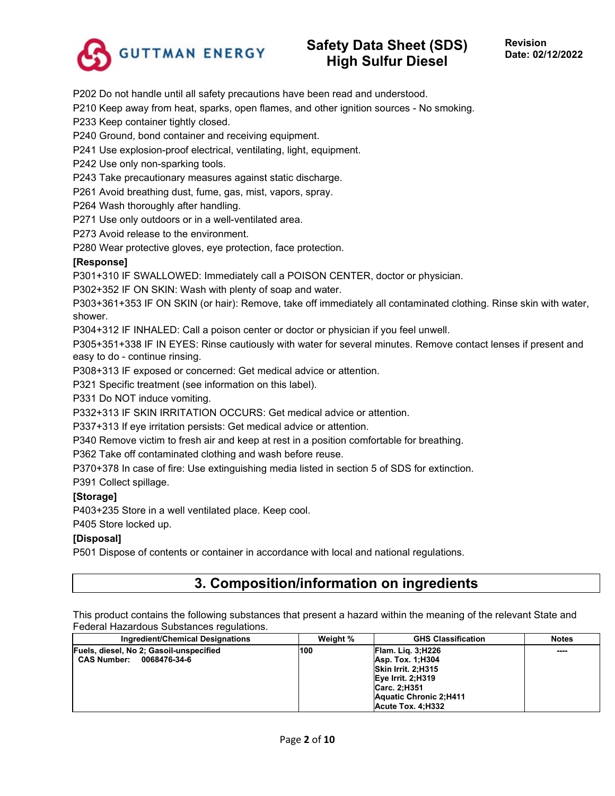

P202 Do not handle until all safety precautions have been read and understood.

P210 Keep away from heat, sparks, open flames, and other ignition sources - No smoking.

P233 Keep container tightly closed.

P240 Ground, bond container and receiving equipment.

P241 Use explosion-proof electrical, ventilating, light, equipment.

P242 Use only non-sparking tools.

P243 Take precautionary measures against static discharge.

P261 Avoid breathing dust, fume, gas, mist, vapors, spray.

P264 Wash thoroughly after handling.

P271 Use only outdoors or in a well-ventilated area.

P273 Avoid release to the environment.

P280 Wear protective gloves, eye protection, face protection.

#### **[Response]**

P301+310 IF SWALLOWED: Immediately call a POISON CENTER, doctor or physician.

P302+352 IF ON SKIN: Wash with plenty of soap and water.

P303+361+353 IF ON SKIN (or hair): Remove, take off immediately all contaminated clothing. Rinse skin with water, shower.

P304+312 IF INHALED: Call a poison center or doctor or physician if you feel unwell.

P305+351+338 IF IN EYES: Rinse cautiously with water for several minutes. Remove contact lenses if present and easy to do - continue rinsing.

P308+313 IF exposed or concerned: Get medical advice or attention.

P321 Specific treatment (see information on this label).

P331 Do NOT induce vomiting.

P332+313 IF SKIN IRRITATION OCCURS: Get medical advice or attention.

P337+313 If eye irritation persists: Get medical advice or attention.

P340 Remove victim to fresh air and keep at rest in a position comfortable for breathing.

P362 Take off contaminated clothing and wash before reuse.

P370+378 In case of fire: Use extinguishing media listed in section 5 of SDS for extinction.

P391 Collect spillage.

### **[Storage]**

P403+235 Store in a well ventilated place. Keep cool.

P405 Store locked up.

#### **[Disposal]**

P501 Dispose of contents or container in accordance with local and national regulations.

# **3. Composition/information on ingredients**

This product contains the following substances that present a hazard within the meaning of the relevant State and Federal Hazardous Substances regulations.

| Ingredient/Chemical Designations                                              | Weight % | <b>GHS Classification</b>                                                                                                                       | <b>Notes</b> |
|-------------------------------------------------------------------------------|----------|-------------------------------------------------------------------------------------------------------------------------------------------------|--------------|
| Fuels, diesel, No 2; Gasoil-unspecified<br><b>CAS Number:</b><br>0068476-34-6 | 100      | Flam. Lig. 3;H226<br>Asp. Tox. 1:H304<br>Skin Irrit. 2:H315<br>Eye Irrit. 2:H319<br>Carc. 2:H351<br>Aquatic Chronic 2:H411<br>Acute Tox. 4:H332 | ----         |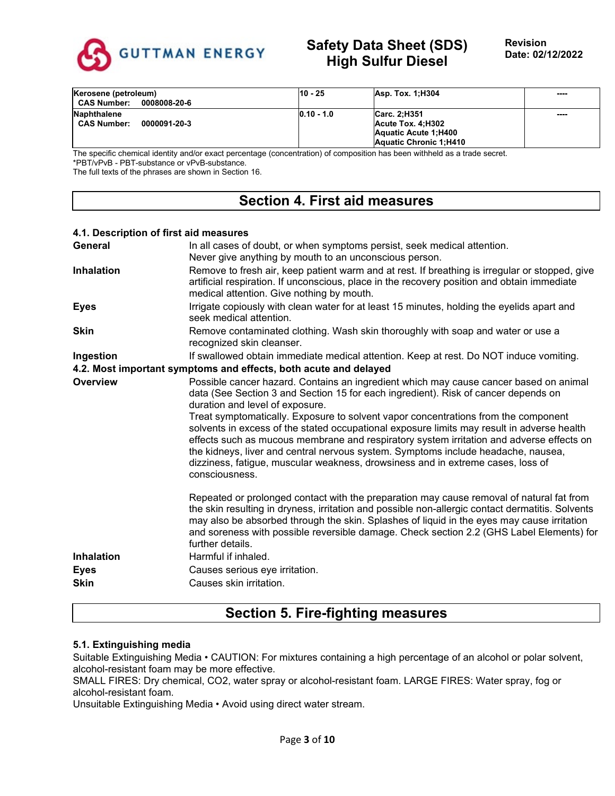

| Kerosene (petroleum)<br><b>CAS Number:</b><br>0008008-20-6 | 10 - 25      | Asp. Tox. 1:H304                                          | ---- |
|------------------------------------------------------------|--------------|-----------------------------------------------------------|------|
| <b>Naphthalene</b><br><b>CAS Number:</b><br>0000091-20-3   | $0.10 - 1.0$ | Carc. 2:H351<br>Acute Tox. 4:H302<br>Aquatic Acute 1:H400 | ---- |
|                                                            |              | Aquatic Chronic 1:H410                                    |      |

The specific chemical identity and/or exact percentage (concentration) of composition has been withheld as a trade secret. \*PBT/vPvB - PBT-substance or vPvB-substance.

The full texts of the phrases are shown in Section 16.

# **Section 4. First aid measures**

### **4.1. Description of first aid measures General** In all cases of doubt, or when symptoms persist, seek medical attention. Never give anything by mouth to an unconscious person. **Inhalation** Remove to fresh air, keep patient warm and at rest. If breathing is irregular or stopped, give artificial respiration. If unconscious, place in the recovery position and obtain immediate medical attention. Give nothing by mouth. **Eyes** Irrigate copiously with clean water for at least 15 minutes, holding the eyelids apart and seek medical attention. **Skin** Remove contaminated clothing. Wash skin thoroughly with soap and water or use a recognized skin cleanser. **Ingestion** If swallowed obtain immediate medical attention. Keep at rest. Do NOT induce vomiting. **4.2. Most important symptoms and effects, both acute and delayed Overview** Possible cancer hazard. Contains an ingredient which may cause cancer based on animal data (See Section 3 and Section 15 for each ingredient). Risk of cancer depends on duration and level of exposure. Treat symptomatically. Exposure to solvent vapor concentrations from the component solvents in excess of the stated occupational exposure limits may result in adverse health effects such as mucous membrane and respiratory system irritation and adverse effects on the kidneys, liver and central nervous system. Symptoms include headache, nausea, dizziness, fatigue, muscular weakness, drowsiness and in extreme cases, loss of consciousness. Repeated or prolonged contact with the preparation may cause removal of natural fat from the skin resulting in dryness, irritation and possible non-allergic contact dermatitis. Solvents may also be absorbed through the skin. Splashes of liquid in the eyes may cause irritation and soreness with possible reversible damage. Check section 2.2 (GHS Label Elements) for further details. **Inhalation** Harmful if inhaled. **Eyes** Causes serious eye irritation. **Skin** Causes skin irritation.

# **Section 5. Fire-fighting measures**

### **5.1. Extinguishing media**

Suitable Extinguishing Media • CAUTION: For mixtures containing a high percentage of an alcohol or polar solvent, alcohol-resistant foam may be more effective.

SMALL FIRES: Dry chemical, CO2, water spray or alcohol-resistant foam. LARGE FIRES: Water spray, fog or alcohol-resistant foam.

Unsuitable Extinguishing Media • Avoid using direct water stream.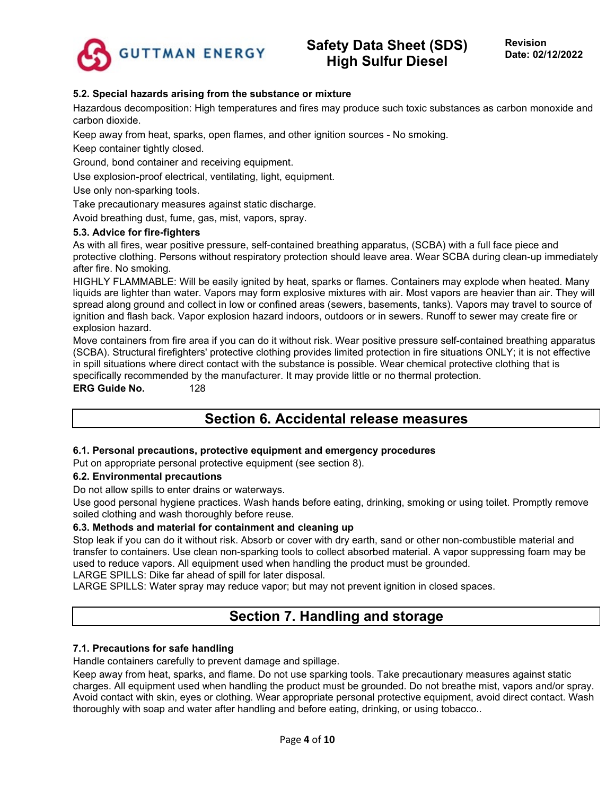

**Revision Date: 02/12/2022**

### **5.2. Special hazards arising from the substance or mixture**

Hazardous decomposition: High temperatures and fires may produce such toxic substances as carbon monoxide and carbon dioxide.

Keep away from heat, sparks, open flames, and other ignition sources - No smoking.

Keep container tightly closed.

Ground, bond container and receiving equipment.

Use explosion-proof electrical, ventilating, light, equipment.

Use only non-sparking tools.

Take precautionary measures against static discharge.

Avoid breathing dust, fume, gas, mist, vapors, spray.

#### **5.3. Advice for fire-fighters**

As with all fires, wear positive pressure, self-contained breathing apparatus, (SCBA) with a full face piece and protective clothing. Persons without respiratory protection should leave area. Wear SCBA during clean-up immediately after fire. No smoking.

HIGHLY FLAMMABLE: Will be easily ignited by heat, sparks or flames. Containers may explode when heated. Many liquids are lighter than water. Vapors may form explosive mixtures with air. Most vapors are heavier than air. They will spread along ground and collect in low or confined areas (sewers, basements, tanks). Vapors may travel to source of ignition and flash back. Vapor explosion hazard indoors, outdoors or in sewers. Runoff to sewer may create fire or explosion hazard.

Move containers from fire area if you can do it without risk. Wear positive pressure self-contained breathing apparatus (SCBA). Structural firefighters' protective clothing provides limited protection in fire situations ONLY; it is not effective in spill situations where direct contact with the substance is possible. Wear chemical protective clothing that is specifically recommended by the manufacturer. It may provide little or no thermal protection.

**ERG Guide No.** 128

# **Section 6. Accidental release measures**

#### **6.1. Personal precautions, protective equipment and emergency procedures**

Put on appropriate personal protective equipment (see section 8).

#### **6.2. Environmental precautions**

Do not allow spills to enter drains or waterways.

Use good personal hygiene practices. Wash hands before eating, drinking, smoking or using toilet. Promptly remove soiled clothing and wash thoroughly before reuse.

#### **6.3. Methods and material for containment and cleaning up**

Stop leak if you can do it without risk. Absorb or cover with dry earth, sand or other non-combustible material and transfer to containers. Use clean non-sparking tools to collect absorbed material. A vapor suppressing foam may be used to reduce vapors. All equipment used when handling the product must be grounded.

LARGE SPILLS: Dike far ahead of spill for later disposal.

LARGE SPILLS: Water spray may reduce vapor; but may not prevent ignition in closed spaces.

# **Section 7. Handling and storage**

#### **7.1. Precautions for safe handling**

Handle containers carefully to prevent damage and spillage.

Keep away from heat, sparks, and flame. Do not use sparking tools. Take precautionary measures against static charges. All equipment used when handling the product must be grounded. Do not breathe mist, vapors and/or spray. Avoid contact with skin, eyes or clothing. Wear appropriate personal protective equipment, avoid direct contact. Wash thoroughly with soap and water after handling and before eating, drinking, or using tobacco..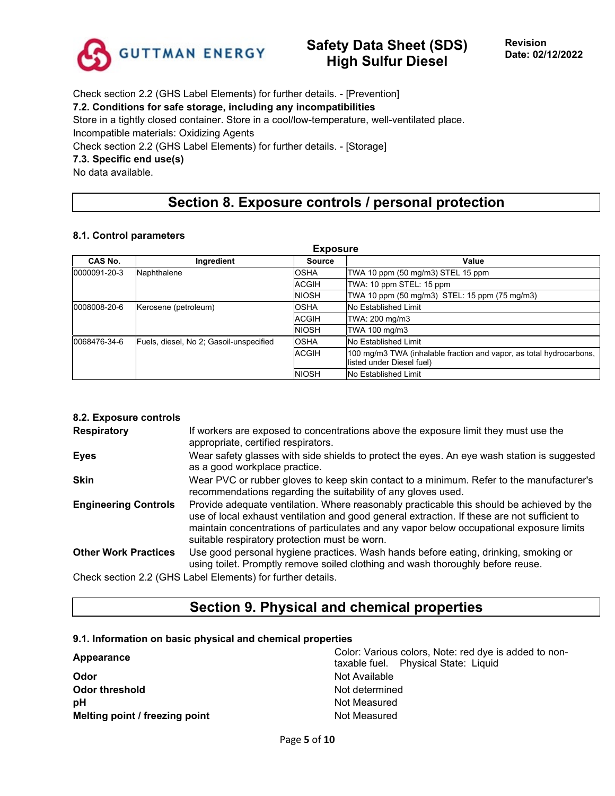

Check section 2.2 (GHS Label Elements) for further details. - [Prevention]

### **7.2. Conditions for safe storage, including any incompatibilities**

Store in a tightly closed container. Store in a cool/low-temperature, well-ventilated place.

Incompatible materials: Oxidizing Agents

Check section 2.2 (GHS Label Elements) for further details. - [Storage]

### **7.3. Specific end use(s)**

No data available.

# **Section 8. Exposure controls / personal protection**

#### **8.1. Control parameters**

| <b>Exposure</b>                                         |             |              |                                                                                                  |  |  |
|---------------------------------------------------------|-------------|--------------|--------------------------------------------------------------------------------------------------|--|--|
| CAS No.                                                 | Ingredient  | Source       | Value                                                                                            |  |  |
| 0000091-20-3                                            | Naphthalene | <b>OSHA</b>  | TWA 10 ppm (50 mg/m3) STEL 15 ppm                                                                |  |  |
|                                                         |             | <b>ACGIH</b> | TWA: 10 ppm STEL: 15 ppm                                                                         |  |  |
|                                                         |             | <b>NIOSH</b> | TWA 10 ppm (50 mg/m3) STEL: 15 ppm (75 mg/m3)                                                    |  |  |
| Kerosene (petroleum)<br>0008008-20-6                    |             | <b>OSHA</b>  | No Established Limit                                                                             |  |  |
|                                                         |             | <b>ACGIH</b> | TWA: 200 mg/m3                                                                                   |  |  |
|                                                         |             | <b>NIOSH</b> | TWA 100 mg/m3                                                                                    |  |  |
| 0068476-34-6<br>Fuels, diesel, No 2; Gasoil-unspecified |             | <b>OSHA</b>  | No Established Limit                                                                             |  |  |
|                                                         |             | <b>ACGIH</b> | 100 mg/m3 TWA (inhalable fraction and vapor, as total hydrocarbons,<br>listed under Diesel fuel) |  |  |
|                                                         |             | <b>NIOSH</b> | No Established Limit                                                                             |  |  |

### **8.2. Exposure controls**

| <b>Respiratory</b>          | If workers are exposed to concentrations above the exposure limit they must use the<br>appropriate, certified respirators.                                                                                                                                                                                                             |
|-----------------------------|----------------------------------------------------------------------------------------------------------------------------------------------------------------------------------------------------------------------------------------------------------------------------------------------------------------------------------------|
| <b>Eyes</b>                 | Wear safety glasses with side shields to protect the eyes. An eye wash station is suggested<br>as a good workplace practice.                                                                                                                                                                                                           |
| <b>Skin</b>                 | Wear PVC or rubber gloves to keep skin contact to a minimum. Refer to the manufacturer's<br>recommendations regarding the suitability of any gloves used.                                                                                                                                                                              |
| <b>Engineering Controls</b> | Provide adequate ventilation. Where reasonably practicable this should be achieved by the<br>use of local exhaust ventilation and good general extraction. If these are not sufficient to<br>maintain concentrations of particulates and any vapor below occupational exposure limits<br>suitable respiratory protection must be worn. |
| <b>Other Work Practices</b> | Use good personal hygiene practices. Wash hands before eating, drinking, smoking or<br>using toilet. Promptly remove soiled clothing and wash thoroughly before reuse.                                                                                                                                                                 |
|                             | Check section 2.2 (GHS Label Elements) for further details.                                                                                                                                                                                                                                                                            |

**Section 9. Physical and chemical properties**

#### **9.1. Information on basic physical and chemical properties**

| Appearance                     | Color: Various colors, Note: red dye is added to non-<br>taxable fuel. Physical State: Liquid |  |  |
|--------------------------------|-----------------------------------------------------------------------------------------------|--|--|
| Odor                           | Not Available                                                                                 |  |  |
| <b>Odor threshold</b>          | Not determined                                                                                |  |  |
| рH                             | Not Measured                                                                                  |  |  |
| Melting point / freezing point | Not Measured                                                                                  |  |  |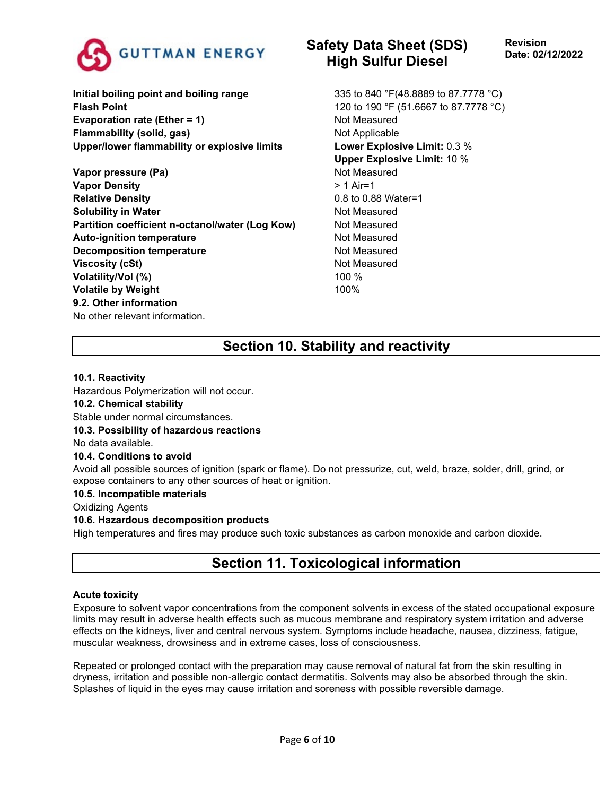

**Initial boiling point and boiling range 335 to 840 °F(48.8889 to 87.7778 °C) Flash Point** 120 to 190 °F (51.6667 to 87.7778 °C) **Evaporation rate (Ether = 1)** Not Measured **Flammability (solid, gas)** Not Applicable **Upper/lower flammability or explosive limits Lower Explosive Limit:** 0.3 %

**Vapor pressure (Pa)** Not Measured **Vapor Density**  $> 1$  Air=1 **Relative Density** 0.8 to 0.88 Water=1 **Solubility in Water** Not Measured **Partition coefficient n-octanol/water (Log Kow)** Not Measured Auto-ignition temperature **Not Auto-ignition temperature** Not Measured **Decomposition temperature** Not Measured **Viscosity (cSt)** Not Measured **Volatility/Vol (%)** 100 % **Volatile by Weight** 100% **9.2. Other information** No other relevant information.

# **Safety Data Sheet (SDS) High Sulfur Diesel**

**Upper Explosive Limit:** 10 %

# **Section 10. Stability and reactivity**

### **10.1. Reactivity**

Hazardous Polymerization will not occur.

### **10.2. Chemical stability**

Stable under normal circumstances.

### **10.3. Possibility of hazardous reactions**

No data available.

### **10.4. Conditions to avoid**

Avoid all possible sources of ignition (spark or flame). Do not pressurize, cut, weld, braze, solder, drill, grind, or expose containers to any other sources of heat or ignition.

### **10.5. Incompatible materials**

Oxidizing Agents

### **10.6. Hazardous decomposition products**

High temperatures and fires may produce such toxic substances as carbon monoxide and carbon dioxide.

# **Section 11. Toxicological information**

### **Acute toxicity**

Exposure to solvent vapor concentrations from the component solvents in excess of the stated occupational exposure limits may result in adverse health effects such as mucous membrane and respiratory system irritation and adverse effects on the kidneys, liver and central nervous system. Symptoms include headache, nausea, dizziness, fatigue, muscular weakness, drowsiness and in extreme cases, loss of consciousness.

Repeated or prolonged contact with the preparation may cause removal of natural fat from the skin resulting in dryness, irritation and possible non-allergic contact dermatitis. Solvents may also be absorbed through the skin. Splashes of liquid in the eyes may cause irritation and soreness with possible reversible damage.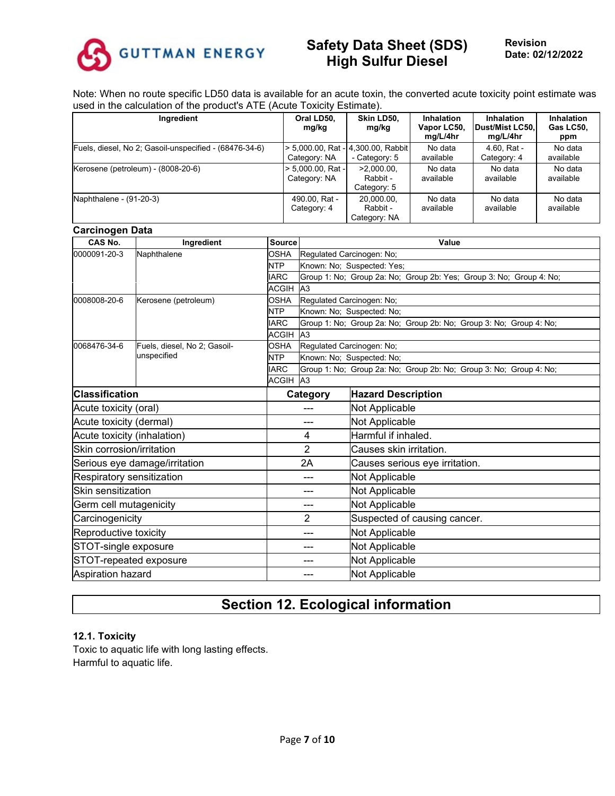

**Revision Date: 02/12/2022**

Note: When no route specific LD50 data is available for an acute toxin, the converted acute toxicity point estimate was used in the calculation of the product's ATE (Acute Toxicity Estimate).

| Ingredient                                             | Oral LD50.<br>mg/kg               | Skin LD50.<br>mg/kg                               | <b>Inhalation</b><br>Vapor LC50,<br>mg/L/4hr | <b>Inhalation</b><br>Dust/Mist LC50.<br>mg/L/4hr | <b>Inhalation</b><br>Gas LC50,<br>ppm |
|--------------------------------------------------------|-----------------------------------|---------------------------------------------------|----------------------------------------------|--------------------------------------------------|---------------------------------------|
| Fuels, diesel, No 2; Gasoil-unspecified - (68476-34-6) | Category: NA                      | 5.000.00, Rat - 4.300.00, Rabbit<br>- Category: 5 | No data<br>available                         | 4.60, Rat -<br>Category: 4                       | No data<br>available                  |
| Kerosene (petroleum) - (8008-20-6)                     | > 5,000.00, Rat -<br>Category: NA | $>2.000.00$ .<br>Rabbit -<br>Category: 5          | No data<br>available                         | No data<br>available                             | No data<br>available                  |
| Naphthalene - (91-20-3)                                | 490.00. Rat -<br>Category: 4      | 20,000.00,<br>Rabbit -<br>Category: NA            | No data<br>available                         | No data<br>available                             | No data<br>available                  |

### **Carcinogen Data**

| CAS No.                     | Ingredient                    | <b>Source</b> |                           | Value                                                               |  |  |  |
|-----------------------------|-------------------------------|---------------|---------------------------|---------------------------------------------------------------------|--|--|--|
| 0000091-20-3                | Naphthalene                   | <b>OSHA</b>   | Regulated Carcinogen: No: |                                                                     |  |  |  |
|                             |                               | <b>NTP</b>    |                           | Known: No; Suspected: Yes;                                          |  |  |  |
|                             |                               | <b>IARC</b>   |                           | Group 1: No; Group 2a: No; Group 2b: Yes; Group 3: No; Group 4: No; |  |  |  |
|                             |                               | <b>ACGIH</b>  | A <sub>3</sub>            |                                                                     |  |  |  |
| 0008008-20-6                | Kerosene (petroleum)          | <b>OSHA</b>   | Regulated Carcinogen: No; |                                                                     |  |  |  |
|                             |                               | <b>NTP</b>    |                           | Known: No: Suspected: No:                                           |  |  |  |
|                             |                               | <b>IARC</b>   |                           | Group 1: No; Group 2a: No; Group 2b: No; Group 3: No; Group 4: No;  |  |  |  |
|                             |                               | <b>ACGIH</b>  | A3                        |                                                                     |  |  |  |
| 0068476-34-6                | Fuels, diesel, No 2; Gasoil-  | <b>OSHA</b>   | Regulated Carcinogen: No; |                                                                     |  |  |  |
|                             | unspecified                   | <b>NTP</b>    |                           | Known: No; Suspected: No;                                           |  |  |  |
|                             |                               | <b>IARC</b>   |                           | Group 1: No; Group 2a: No; Group 2b: No; Group 3: No; Group 4: No;  |  |  |  |
|                             |                               | <b>ACGIH</b>  | A <sub>3</sub>            |                                                                     |  |  |  |
| <b>Classification</b>       |                               |               | Category                  | <b>Hazard Description</b>                                           |  |  |  |
| Acute toxicity (oral)       |                               |               |                           | Not Applicable                                                      |  |  |  |
| Acute toxicity (dermal)     |                               |               | ---                       | Not Applicable                                                      |  |  |  |
| Acute toxicity (inhalation) |                               |               | 4                         | Harmful if inhaled.                                                 |  |  |  |
| Skin corrosion/irritation   |                               |               | $\overline{2}$            | Causes skin irritation.                                             |  |  |  |
|                             | Serious eye damage/irritation |               | 2A                        | Causes serious eye irritation.                                      |  |  |  |
| Respiratory sensitization   |                               |               | ---                       | Not Applicable                                                      |  |  |  |
| Skin sensitization          |                               |               | ---                       | Not Applicable                                                      |  |  |  |
| Germ cell mutagenicity      |                               |               | ---                       | Not Applicable                                                      |  |  |  |
| Carcinogenicity             |                               |               | $\overline{2}$            | Suspected of causing cancer.                                        |  |  |  |
| Reproductive toxicity       |                               |               | ---                       | Not Applicable                                                      |  |  |  |
| STOT-single exposure<br>--- |                               |               | Not Applicable            |                                                                     |  |  |  |
| STOT-repeated exposure      |                               |               | Not Applicable            |                                                                     |  |  |  |
| Aspiration hazard           |                               |               |                           | Not Applicable                                                      |  |  |  |

# **Section 12. Ecological information**

#### **12.1. Toxicity**

Toxic to aquatic life with long lasting effects. Harmful to aquatic life.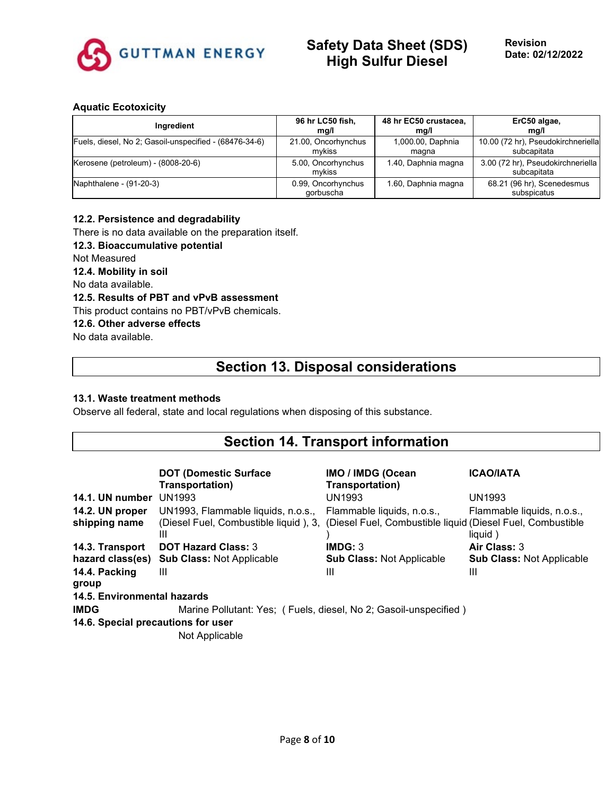

**Revision Date: 02/12/2022**

#### **Aquatic Ecotoxicity**

| Ingredient                                             | 96 hr LC50 fish,                | 48 hr EC50 crustacea, | ErC50 algae,                                     |
|--------------------------------------------------------|---------------------------------|-----------------------|--------------------------------------------------|
|                                                        | mg/l                            | mq/l                  | mg/l                                             |
| Fuels, diesel, No 2; Gasoil-unspecified - (68476-34-6) | 21.00, Oncorhynchus             | 1,000.00, Daphnia     | 10.00 (72 hr), Pseudokirchneriella               |
|                                                        | mvkiss                          | magna                 | subcapitata                                      |
| Kerosene (petroleum) - (8008-20-6)                     | 5.00, Oncorhynchus<br>mvkiss    | 1.40, Daphnia magna   | 3.00 (72 hr), Pseudokirchneriella<br>subcapitata |
| Naphthalene - (91-20-3)                                | 0.99, Oncorhynchus<br>gorbuscha | 1.60, Daphnia magna   | 68.21 (96 hr), Scenedesmus<br>subspicatus        |

#### **12.2. Persistence and degradability**

There is no data available on the preparation itself.

### **12.3. Bioaccumulative potential**

Not Measured

### **12.4. Mobility in soil**

No data available.

### **12.5. Results of PBT and vPvB assessment**

This product contains no PBT/vPvB chemicals.

### **12.6. Other adverse effects**

No data available.

# **Section 13. Disposal considerations**

### **13.1. Waste treatment methods**

Observe all federal, state and local regulations when disposing of this substance.

### **Section 14. Transport information**

|                                    | <b>DOT (Domestic Surface)</b><br>Transportation)                 | <b>IMO / IMDG (Ocean</b><br>Transportation)                | <b>ICAO/IATA</b>                 |
|------------------------------------|------------------------------------------------------------------|------------------------------------------------------------|----------------------------------|
| <b>14.1. UN number UN1993</b>      |                                                                  | <b>UN1993</b>                                              | <b>UN1993</b>                    |
| 14.2. UN proper                    | UN1993, Flammable liquids, n.o.s.,                               | Flammable liquids, n.o.s.,                                 | Flammable liquids, n.o.s.,       |
| shipping name                      | (Diesel Fuel, Combustible liquid), 3,<br>Ш                       | (Diesel Fuel, Combustible liquid (Diesel Fuel, Combustible | liquid)                          |
| 14.3. Transport                    | <b>DOT Hazard Class: 3</b>                                       | IMDG: 3                                                    | Air Class: 3                     |
| hazard class(es)                   | <b>Sub Class: Not Applicable</b>                                 | <b>Sub Class: Not Applicable</b>                           | <b>Sub Class: Not Applicable</b> |
| 14.4. Packing<br>group             | Ш                                                                | Ш                                                          | Ш                                |
| 14.5. Environmental hazards        |                                                                  |                                                            |                                  |
| <b>IMDG</b>                        | Marine Pollutant: Yes; (Fuels, diesel, No 2; Gasoil-unspecified) |                                                            |                                  |
| 14.6. Special precautions for user |                                                                  |                                                            |                                  |
|                                    | Not Applicable                                                   |                                                            |                                  |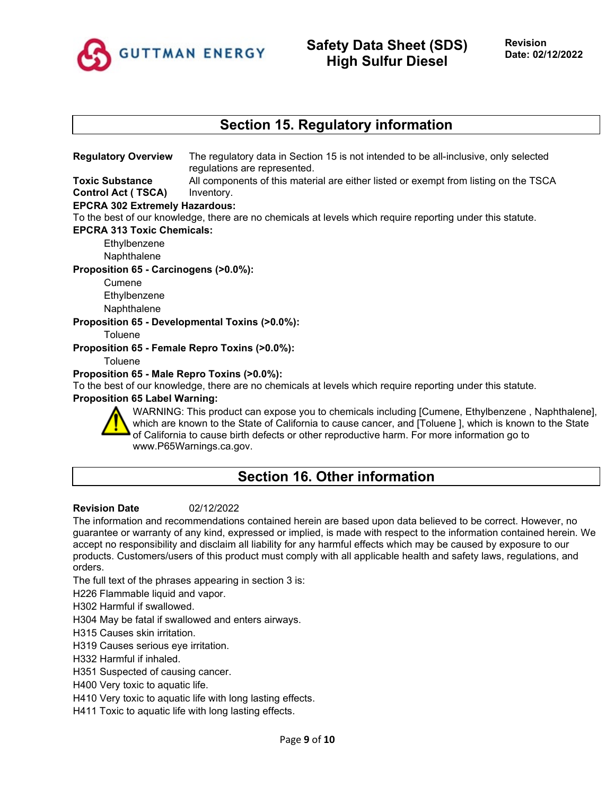

# **Section 15. Regulatory information**

**Regulatory Overview** The regulatory data in Section 15 is not intended to be all-inclusive, only selected regulations are represented.

**Toxic Substance Control Act ( TSCA)** All components of this material are either listed or exempt from listing on the TSCA Inventory.

### **EPCRA 302 Extremely Hazardous:**

To the best of our knowledge, there are no chemicals at levels which require reporting under this statute.

#### **EPCRA 313 Toxic Chemicals:**

**Ethylbenzene** 

Naphthalene

#### **Proposition 65 - Carcinogens (>0.0%):**

Cumene Ethylbenzene **Naphthalene** 

### **Proposition 65 - Developmental Toxins (>0.0%):**

**Toluene** 

**Proposition 65 - Female Repro Toxins (>0.0%):**

**Toluene** 

#### **Proposition 65 - Male Repro Toxins (>0.0%):**

To the best of our knowledge, there are no chemicals at levels which require reporting under this statute.

#### **Proposition 65 Label Warning:**



WARNING: This product can expose you to chemicals including [Cumene, Ethylbenzene , Naphthalene], which are known to the State of California to cause cancer, and [Toluene ], which is known to the State of California to cause birth defects or other reproductive harm. For more information go to www.P65Warnings.ca.gov.

# **Section 16. Other information**

#### **Revision Date** 02/12/2022

The information and recommendations contained herein are based upon data believed to be correct. However, no guarantee or warranty of any kind, expressed or implied, is made with respect to the information contained herein. We accept no responsibility and disclaim all liability for any harmful effects which may be caused by exposure to our products. Customers/users of this product must comply with all applicable health and safety laws, regulations, and orders.

The full text of the phrases appearing in section 3 is:

H226 Flammable liquid and vapor.

H302 Harmful if swallowed.

H304 May be fatal if swallowed and enters airways.

H315 Causes skin irritation.

H319 Causes serious eye irritation.

H332 Harmful if inhaled.

H351 Suspected of causing cancer.

H400 Very toxic to aquatic life.

H410 Very toxic to aquatic life with long lasting effects.

H411 Toxic to aquatic life with long lasting effects.